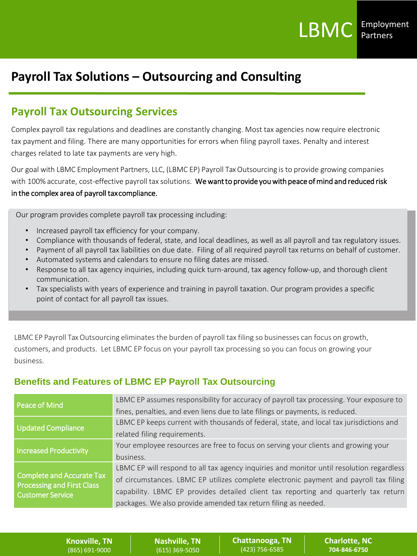

# **Payroll Tax Solutions – Outsourcing and Consulting**

### **Payroll Tax Outsourcing Services**

Complex payroll tax regulations and deadlines are constantly changing. Most tax agencies now require electronic tax payment and filing. There are many opportunities for errors when filing payroll taxes. Penalty and interest charges related to late tax payments are very high.

Our goal with LBMC Employment Partners, LLC, (LBMC EP) Payroll TaxOutsourcing is to provide growing companies with 100% accurate, cost-effective payroll tax solutions. We want to provide you with peace of mind and reduced risk in the complex area of payroll taxcompliance.

Our program provides complete payroll tax processing including:

- Increased payroll tax efficiency for your company.
- Compliance with thousands of federal, state, and local deadlines, as well as all payroll and tax regulatory issues.
- Payment of all payroll tax liabilities on due date. Filing of all required payroll tax returns on behalf of customer.
- Automated systems and calendars to ensure no filing dates are missed.
- Response to all tax agency inquiries, including quick turn-around, tax agency follow-up, and thorough client communication.
- Tax specialists with years of experience and training in payroll taxation. Our program provides a specific point of contact for all payroll tax issues.

LBMC EP Payroll Tax Outsourcing eliminates the burden of payroll tax filing so businesses can focus on growth, customers, and products. Let LBMC EP focus on your payroll tax processing so you can focus on growing your business.

#### **Benefits and Features of LBMC EP Payroll Tax Outsourcing**

| Peace of Mind                                                                                    | LBMC EP assumes responsibility for accuracy of payroll tax processing. Your exposure to  |
|--------------------------------------------------------------------------------------------------|------------------------------------------------------------------------------------------|
|                                                                                                  | fines, penalties, and even liens due to late filings or payments, is reduced.            |
| Updated Compliance                                                                               | LBMC EP keeps current with thousands of federal, state, and local tax jurisdictions and  |
|                                                                                                  | related filing requirements.                                                             |
| Increased Productivity                                                                           | Your employee resources are free to focus on serving your clients and growing your       |
|                                                                                                  | business.                                                                                |
| <b>Complete and Accurate Tax</b><br><b>Processing and First Class</b><br><b>Customer Service</b> | LBMC EP will respond to all tax agency inquiries and monitor until resolution regardless |
|                                                                                                  | of circumstances. LBMC EP utilizes complete electronic payment and payroll tax filing    |
|                                                                                                  | capability. LBMC EP provides detailed client tax reporting and quarterly tax return      |
|                                                                                                  | packages. We also provide amended tax return filing as needed.                           |

**Knoxville, TN** (865) 691-9000

**Nashville, TN** (615) 369-5050

**Chattanooga, TN** (423) 756-6585

**Charlotte, NC 704-846-6750**